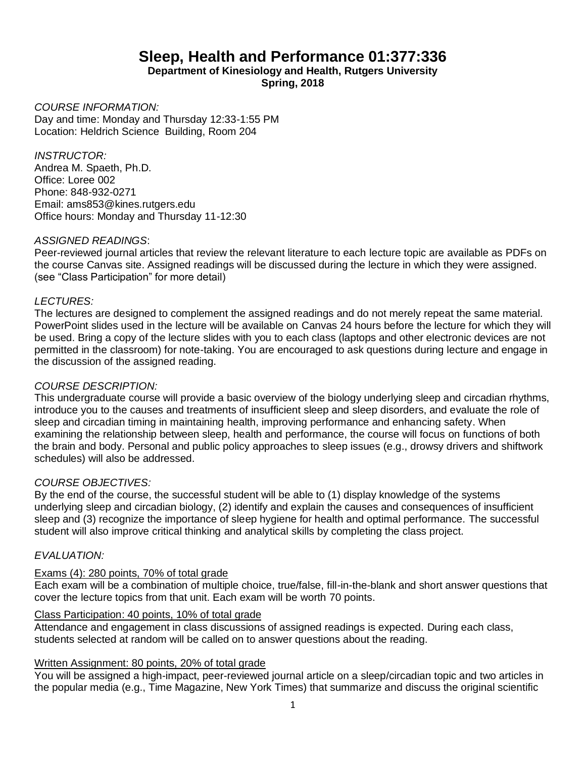# **Sleep, Health and Performance 01:377:336**

**Department of Kinesiology and Health, Rutgers University Spring, 2018**

*COURSE INFORMATION:* Day and time: Monday and Thursday 12:33-1:55 PM Location: Heldrich Science Building, Room 204

*INSTRUCTOR:*  Andrea M. Spaeth, Ph.D. Office: Loree 002 Phone: 848-932-0271 Email: ams853@kines.rutgers.edu Office hours: Monday and Thursday 11-12:30

## *ASSIGNED READINGS*:

Peer-reviewed journal articles that review the relevant literature to each lecture topic are available as PDFs on the course Canvas site. Assigned readings will be discussed during the lecture in which they were assigned. (see "Class Participation" for more detail)

### *LECTURES:*

The lectures are designed to complement the assigned readings and do not merely repeat the same material. PowerPoint slides used in the lecture will be available on Canvas 24 hours before the lecture for which they will be used. Bring a copy of the lecture slides with you to each class (laptops and other electronic devices are not permitted in the classroom) for note-taking. You are encouraged to ask questions during lecture and engage in the discussion of the assigned reading.

## *COURSE DESCRIPTION:*

This undergraduate course will provide a basic overview of the biology underlying sleep and circadian rhythms, introduce you to the causes and treatments of insufficient sleep and sleep disorders, and evaluate the role of sleep and circadian timing in maintaining health, improving performance and enhancing safety. When examining the relationship between sleep, health and performance, the course will focus on functions of both the brain and body. Personal and public policy approaches to sleep issues (e.g., drowsy drivers and shiftwork schedules) will also be addressed.

#### *COURSE OBJECTIVES:*

By the end of the course, the successful student will be able to (1) display knowledge of the systems underlying sleep and circadian biology, (2) identify and explain the causes and consequences of insufficient sleep and (3) recognize the importance of sleep hygiene for health and optimal performance. The successful student will also improve critical thinking and analytical skills by completing the class project.

# *EVALUATION:*

#### Exams (4): 280 points, 70% of total grade

Each exam will be a combination of multiple choice, true/false, fill-in-the-blank and short answer questions that cover the lecture topics from that unit. Each exam will be worth 70 points.

### Class Participation: 40 points, 10% of total grade

Attendance and engagement in class discussions of assigned readings is expected. During each class, students selected at random will be called on to answer questions about the reading.

#### Written Assignment: 80 points, 20% of total grade

You will be assigned a high-impact, peer-reviewed journal article on a sleep/circadian topic and two articles in the popular media (e.g., Time Magazine, New York Times) that summarize and discuss the original scientific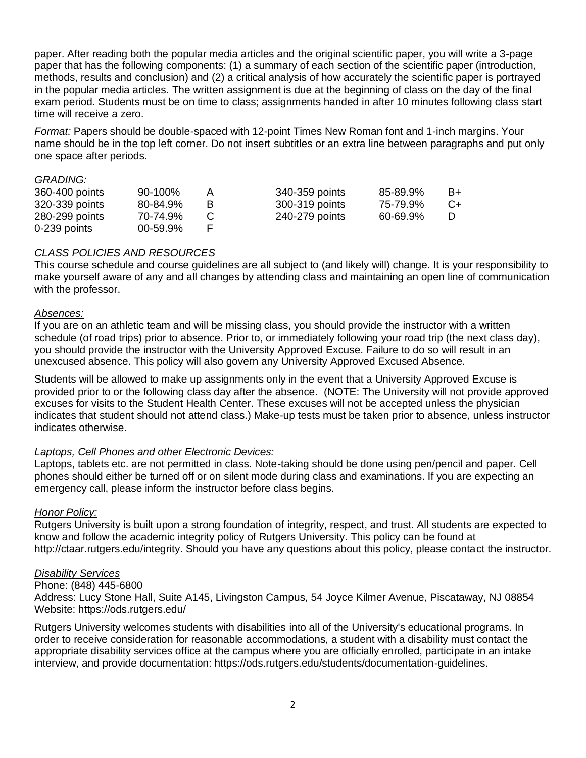paper. After reading both the popular media articles and the original scientific paper, you will write a 3-page paper that has the following components: (1) a summary of each section of the scientific paper (introduction, methods, results and conclusion) and (2) a critical analysis of how accurately the scientific paper is portrayed in the popular media articles. The written assignment is due at the beginning of class on the day of the final exam period. Students must be on time to class; assignments handed in after 10 minutes following class start time will receive a zero.

*Format:* Papers should be double-spaced with 12-point Times New Roman font and 1-inch margins. Your name should be in the top left corner. Do not insert subtitles or an extra line between paragraphs and put only one space after periods.

#### *GRADING:*

| 360-400 points | 90-100%  | A | 340-359 points | 85-89.9% | B+   |
|----------------|----------|---|----------------|----------|------|
| 320-339 points | 80-84.9% | B | 300-319 points | 75-79.9% | $C+$ |
| 280-299 points | 70-74.9% |   | 240-279 points | 60-69.9% |      |
| 0-239 points   | 00-59.9% |   |                |          |      |

### *CLASS POLICIES AND RESOURCES*

This course schedule and course guidelines are all subject to (and likely will) change. It is your responsibility to make yourself aware of any and all changes by attending class and maintaining an open line of communication with the professor.

#### *Absences:*

If you are on an athletic team and will be missing class, you should provide the instructor with a written schedule (of road trips) prior to absence. Prior to, or immediately following your road trip (the next class day), you should provide the instructor with the University Approved Excuse. Failure to do so will result in an unexcused absence. This policy will also govern any University Approved Excused Absence.

Students will be allowed to make up assignments only in the event that a University Approved Excuse is provided prior to or the following class day after the absence. (NOTE: The University will not provide approved excuses for visits to the Student Health Center. These excuses will not be accepted unless the physician indicates that student should not attend class.) Make-up tests must be taken prior to absence, unless instructor indicates otherwise.

#### *Laptops, Cell Phones and other Electronic Devices:*

Laptops, tablets etc. are not permitted in class. Note-taking should be done using pen/pencil and paper. Cell phones should either be turned off or on silent mode during class and examinations. If you are expecting an emergency call, please inform the instructor before class begins.

#### *Honor Policy:*

Rutgers University is built upon a strong foundation of integrity, respect, and trust. All students are expected to know and follow the academic integrity policy of Rutgers University. This policy can be found at http://ctaar.rutgers.edu/integrity. Should you have any questions about this policy, please contact the instructor.

#### *Disability Services*

#### Phone: (848) 445-6800

Address: Lucy Stone Hall, Suite A145, Livingston Campus, 54 Joyce Kilmer Avenue, Piscataway, NJ 08854 Website: https://ods.rutgers.edu/

Rutgers University welcomes students with disabilities into all of the University's educational programs. In order to receive consideration for reasonable accommodations, a student with a disability must contact the appropriate disability services office at the campus where you are officially enrolled, participate in an intake interview, and provide documentation: https://ods.rutgers.edu/students/documentation-guidelines.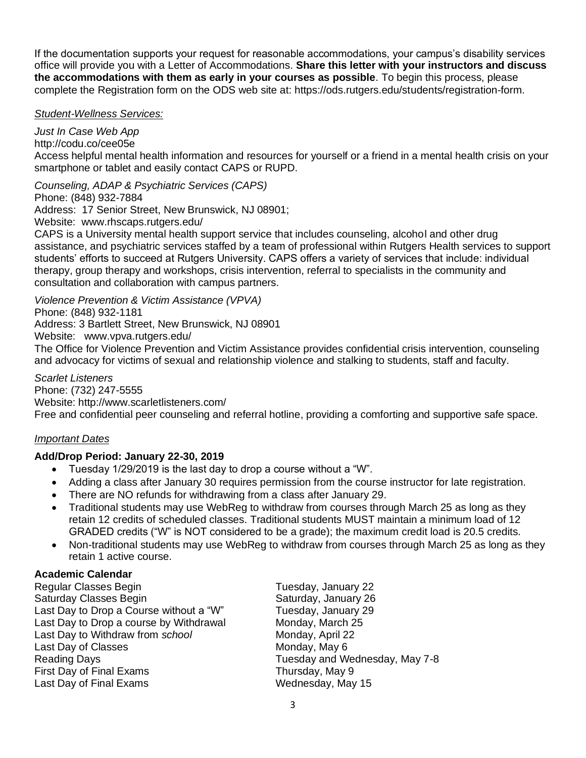If the documentation supports your request for reasonable accommodations, your campus's disability services office will provide you with a Letter of Accommodations. **Share this letter with your instructors and discuss the accommodations with them as early in your courses as possible**. To begin this process, please complete the Registration form on the ODS web site at: https://ods.rutgers.edu/students/registration-form.

## *Student-Wellness Services:*

*Just In Case Web App* http://codu.co/cee05e

Access helpful mental health information and resources for yourself or a friend in a mental health crisis on your smartphone or tablet and easily contact CAPS or RUPD.

*Counseling, ADAP & Psychiatric Services (CAPS)*

Phone: (848) 932-7884

Address: 17 Senior Street, New Brunswick, NJ 08901;

Website: www.rhscaps.rutgers.edu/

CAPS is a University mental health support service that includes counseling, alcohol and other drug assistance, and psychiatric services staffed by a team of professional within Rutgers Health services to support students' efforts to succeed at Rutgers University. CAPS offers a variety of services that include: individual therapy, group therapy and workshops, crisis intervention, referral to specialists in the community and consultation and collaboration with campus partners.

*Violence Prevention & Victim Assistance (VPVA)* Phone: (848) 932-1181 Address: 3 Bartlett Street, New Brunswick, NJ 08901 Website: www.vpva.rutgers.edu/ The Office for Violence Prevention and Victim Assistance provides confidential crisis intervention, counseling and advocacy for victims of sexual and relationship violence and stalking to students, staff and faculty.

*Scarlet Listeners* Phone: (732) 247-5555 Website: http://www.scarletlisteners.com/ Free and confidential peer counseling and referral hotline, providing a comforting and supportive safe space.

# *Important Dates*

# **Add/Drop Period: January 22-30, 2019**

- Tuesday 1/29/2019 is the last day to drop a course without a "W".
- Adding a class after January 30 requires permission from the course instructor for late registration.
- There are NO refunds for withdrawing from a class after January 29.
- Traditional students may use WebReg to withdraw from courses through March 25 as long as they retain 12 credits of scheduled classes. Traditional students MUST maintain a minimum load of 12 GRADED credits ("W" is NOT considered to be a grade); the maximum credit load is 20.5 credits.
- Non-traditional students may use WebReg to withdraw from courses through March 25 as long as they retain 1 active course.

# **Academic Calendar**

| Regular Classes Begin                   | Tuesday, January 22            |
|-----------------------------------------|--------------------------------|
| Saturday Classes Begin                  | Saturday, January 26           |
| Last Day to Drop a Course without a "W" | Tuesday, January 29            |
| Last Day to Drop a course by Withdrawal | Monday, March 25               |
| Last Day to Withdraw from school        | Monday, April 22               |
| Last Day of Classes                     | Monday, May 6                  |
| Reading Days                            | Tuesday and Wednesday, May 7-8 |
| <b>First Day of Final Exams</b>         | Thursday, May 9                |
| Last Day of Final Exams                 | Wednesday, May 15              |
|                                         |                                |